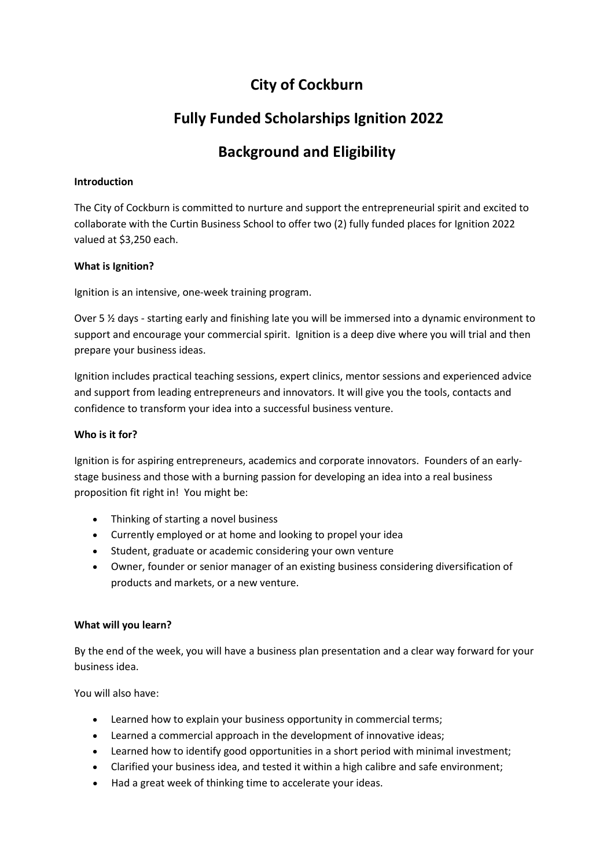## **City of Cockburn**

## **Fully Funded Scholarships Ignition 2022**

# **Background and Eligibility**

### **Introduction**

The City of Cockburn is committed to nurture and support the entrepreneurial spirit and excited to collaborate with the Curtin Business School to offer two (2) fully funded places for Ignition 2022 valued at \$3,250 each.

## **What is Ignition?**

Ignition is an intensive, one-week training program.

Over 5 ½ days - starting early and finishing late you will be immersed into a dynamic environment to support and encourage your commercial spirit. Ignition is a deep dive where you will trial and then prepare your business ideas.

Ignition includes practical teaching sessions, expert clinics, mentor sessions and experienced advice and support from leading entrepreneurs and innovators. It will give you the tools, contacts and confidence to transform your idea into a successful business venture.

### **Who is it for?**

Ignition is for aspiring entrepreneurs, academics and corporate innovators. Founders of an earlystage business and those with a burning passion for developing an idea into a real business proposition fit right in! You might be:

- Thinking of starting a novel business
- Currently employed or at home and looking to propel your idea
- Student, graduate or academic considering your own venture
- Owner, founder or senior manager of an existing business considering diversification of products and markets, or a new venture.

## **What will you learn?**

By the end of the week, you will have a business plan presentation and a clear way forward for your business idea.

You will also have:

- Learned how to explain your business opportunity in commercial terms;
- Learned a commercial approach in the development of innovative ideas;
- Learned how to identify good opportunities in a short period with minimal investment;
- Clarified your business idea, and tested it within a high calibre and safe environment;
- Had a great week of thinking time to accelerate your ideas.